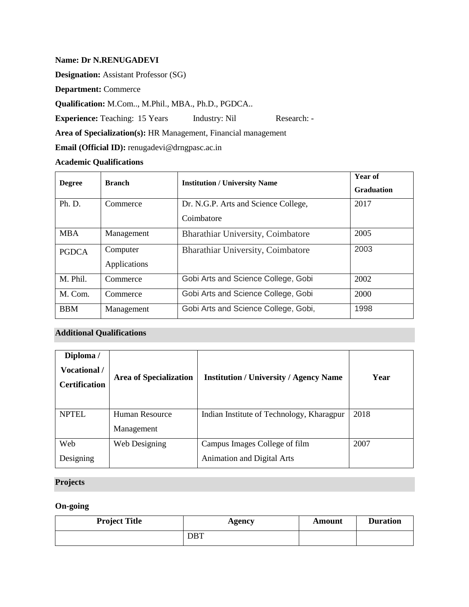### **Name: Dr N.RENUGADEVI**

**Designation:** Assistant Professor (SG)

**Department:** Commerce

**Qualification:** M.Com.., M.Phil., MBA., Ph.D., PGDCA..

**Experience:** Teaching: 15 Years Industry: Nil Research: -

**Area of Specialization(s):** HR Management, Financial management

**Email (Official ID):** renugadevi@drngpasc.ac.in

## **Academic Qualifications**

| <b>Degree</b> | <b>Branch</b> | <b>Institution / University Name</b> | <b>Year of</b><br><b>Graduation</b> |
|---------------|---------------|--------------------------------------|-------------------------------------|
| Ph. D.        | Commerce      | Dr. N.G.P. Arts and Science College, | 2017                                |
|               |               | Coimbatore                           |                                     |
| <b>MBA</b>    | Management    | Bharathiar University, Coimbatore    | 2005                                |
| <b>PGDCA</b>  | Computer      | Bharathiar University, Coimbatore    | 2003                                |
|               | Applications  |                                      |                                     |
| M. Phil.      | Commerce      | Gobi Arts and Science College, Gobi  | 2002                                |
| M. Com.       | Commerce      | Gobi Arts and Science College, Gobi  | 2000                                |
| <b>BBM</b>    | Management    | Gobi Arts and Science College, Gobi, | 1998                                |

# **Additional Qualifications**

| Diploma /<br>Vocational /<br><b>Certification</b> | <b>Area of Specialization</b> | <b>Institution / University / Agency Name</b> | Year |
|---------------------------------------------------|-------------------------------|-----------------------------------------------|------|
| <b>NPTEL</b>                                      | Human Resource                | Indian Institute of Technology, Kharagpur     | 2018 |
|                                                   | Management                    |                                               |      |
| Web                                               | Web Designing                 | Campus Images College of film                 | 2007 |
| Designing                                         |                               | <b>Animation and Digital Arts</b>             |      |

# **Projects**

# **On-going**

| <b>Project Title</b> | <b>Agency</b> | Amount | <b>Duration</b> |
|----------------------|---------------|--------|-----------------|
|                      | <b>DBT</b>    |        |                 |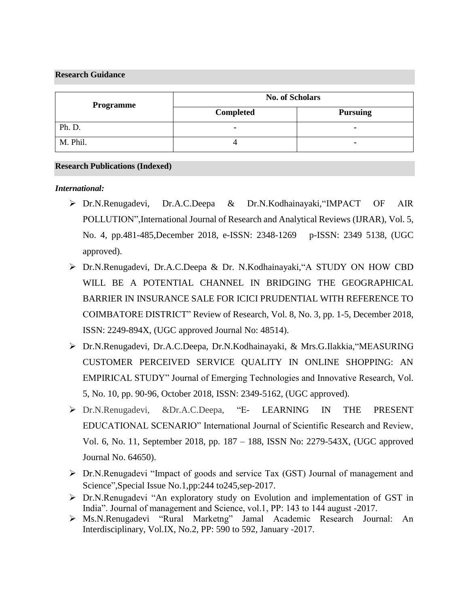### **Research Guidance**

| Programme | <b>No. of Scholars</b> |                 |
|-----------|------------------------|-----------------|
|           | <b>Completed</b>       | <b>Pursuing</b> |
| Ph. D.    | ٠                      | ۰               |
| M. Phil.  |                        |                 |

#### **Research Publications (Indexed)**

## *International:*

- ➢ Dr.N.Renugadevi, Dr.A.C.Deepa & Dr.N.Kodhainayaki,"IMPACT OF AIR POLLUTION",International Journal of Research and Analytical Reviews (IJRAR), Vol. 5, No. 4, pp.481-485, December 2018, e-ISSN: 2348-1269 p-ISSN: 2349 5138, (UGC approved).
- ➢ Dr.N.Renugadevi, Dr.A.C.Deepa & Dr. N.Kodhainayaki,"A STUDY ON HOW CBD WILL BE A POTENTIAL CHANNEL IN BRIDGING THE GEOGRAPHICAL BARRIER IN INSURANCE SALE FOR ICICI PRUDENTIAL WITH REFERENCE TO COIMBATORE DISTRICT" Review of Research, Vol. 8, No. 3, pp. 1-5, December 2018, ISSN: 2249-894X, (UGC approved Journal No: 48514).
- ➢ Dr.N.Renugadevi, Dr.A.C.Deepa, Dr.N.Kodhainayaki, & Mrs.G.Ilakkia,"MEASURING CUSTOMER PERCEIVED SERVICE QUALITY IN ONLINE SHOPPING: AN EMPIRICAL STUDY" Journal of Emerging Technologies and Innovative Research, Vol. 5, No. 10, pp. 90-96, October 2018, ISSN: 2349-5162, (UGC approved).
- ➢ Dr.N.Renugadevi, &Dr.A.C.Deepa, "E- LEARNING IN THE PRESENT EDUCATIONAL SCENARIO" International Journal of Scientific Research and Review, Vol. 6, No. 11, September 2018, pp. 187 – 188, ISSN No: 2279-543X, (UGC approved Journal No. 64650).
- ➢ Dr.N.Renugadevi "Impact of goods and service Tax (GST) Journal of management and Science",Special Issue No.1,pp:244 to245,sep-2017.
- ➢ Dr.N.Renugadevi "An exploratory study on Evolution and implementation of GST in India". Journal of management and Science, vol.1, PP: 143 to 144 august -2017.
- ➢ Ms.N.Renugadevi "Rural Marketng" Jamal Academic Research Journal: An Interdisciplinary, Vol.IX, No.2, PP: 590 to 592, January -2017.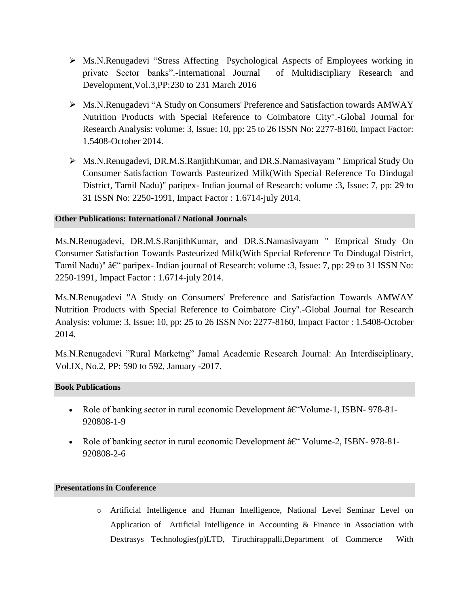- ➢ Ms.N.Renugadevi "Stress Affecting Psychological Aspects of Employees working in private Sector banks".-International Journal of Multidiscipliary Research and Development,Vol.3,PP:230 to 231 March 2016
- ➢ Ms.N.Renugadevi "A Study on Consumers' Preference and Satisfaction towards AMWAY Nutrition Products with Special Reference to Coimbatore City".-Global Journal for Research Analysis: volume: 3, Issue: 10, pp: 25 to 26 ISSN No: 2277-8160, Impact Factor: 1.5408-October 2014.
- ➢ Ms.N.Renugadevi, DR.M.S.RanjithKumar, and DR.S.Namasivayam " Emprical Study On Consumer Satisfaction Towards Pasteurized Milk(With Special Reference To Dindugal District, Tamil Nadu)" paripex- Indian journal of Research: volume :3, Issue: 7, pp: 29 to 31 ISSN No: 2250-1991, Impact Factor : 1.6714-july 2014.

## **Other Publications: International / National Journals**

Ms.N.Renugadevi, DR.M.S.RanjithKumar, and DR.S.Namasivayam " Emprical Study On Consumer Satisfaction Towards Pasteurized Milk(With Special Reference To Dindugal District, Tamil Nadu)"  $\hat{a}\hat{\epsilon}$ " paripex- Indian journal of Research: volume :3, Issue: 7, pp: 29 to 31 ISSN No: 2250-1991, Impact Factor : 1.6714-july 2014.

Ms.N.Renugadevi "A Study on Consumers' Preference and Satisfaction Towards AMWAY Nutrition Products with Special Reference to Coimbatore City".-Global Journal for Research Analysis: volume: 3, Issue: 10, pp: 25 to 26 ISSN No: 2277-8160, Impact Factor : 1.5408-October 2014.

Ms.N.Renugadevi "Rural Marketng" Jamal Academic Research Journal: An Interdisciplinary, Vol.IX, No.2, PP: 590 to 592, January -2017.

#### **Book Publications**

- Role of banking sector in rural economic Development  $\hat{a} \in V$ olume-1, ISBN-978-81-920808-1-9
- Role of banking sector in rural economic Development  $\hat{a} \in \mathcal{C}$  Volume-2, ISBN- 978-81-920808-2-6

## **Presentations in Conference**

o Artificial Intelligence and Human Intelligence, National Level Seminar Level on Application of Artificial Intelligence in Accounting & Finance in Association with Dextrasys Technologies(p)LTD, Tiruchirappalli,Department of Commerce With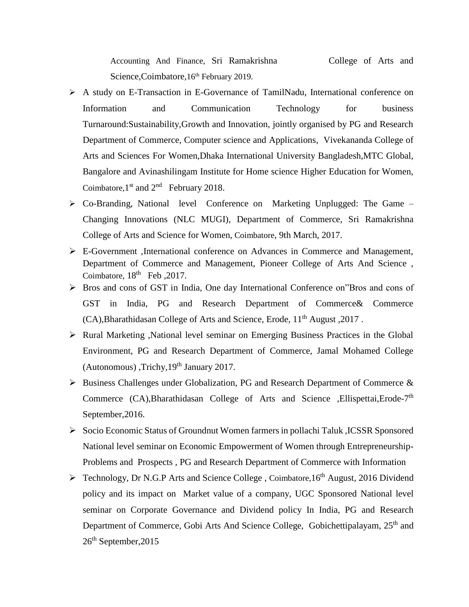Accounting And Finance, Sri Ramakrishna College of Arts and Science, Coimbatore, 16<sup>th</sup> February 2019.

- ➢ A study on E-Transaction in E-Governance of TamilNadu, International conference on Information and Communication Technology for business Turnaround:Sustainability,Growth and Innovation, jointly organised by PG and Research Department of Commerce, Computer science and Applications, Vivekananda College of Arts and Sciences For Women,Dhaka International University Bangladesh,MTC Global, Bangalore and Avinashilingam Institute for Home science Higher Education for Women, Coimbatore,  $1<sup>st</sup>$  and  $2<sup>nd</sup>$  February 2018.
- ➢ Co-Branding, National level Conference on Marketing Unplugged: The Game Changing Innovations (NLC MUGI), Department of Commerce, Sri Ramakrishna College of Arts and Science for Women, Coimbatore, 9th March, 2017.
- ➢ E-Government ,International conference on Advances in Commerce and Management, Department of Commerce and Management, Pioneer College of Arts And Science , Coimbatore,  $18<sup>th</sup>$  Feb, 2017.
- ➢ Bros and cons of GST in India, One day International Conference on"Bros and cons of GST in India, PG and Research Department of Commerce& Commerce (CA), Bharathidasan College of Arts and Science, Erode, 11<sup>th</sup> August , 2017.
- ➢ Rural Marketing ,National level seminar on Emerging Business Practices in the Global Environment, PG and Research Department of Commerce, Jamal Mohamed College (Autonomous), Trichy,  $19<sup>th</sup>$  January 2017.
- ➢ Business Challenges under Globalization, PG and Research Department of Commerce & Commerce (CA), Bharathidasan College of Arts and Science , Ellispettai, Erode-7<sup>th</sup> September,2016.
- ➢ Socio Economic Status of Groundnut Women farmers in pollachi Taluk ,ICSSR Sponsored National level seminar on Economic Empowerment of Women through Entrepreneurship-Problems and Prospects , PG and Research Department of Commerce with Information
- $\triangleright$  Technology, Dr N.G.P Arts and Science College, Coimbatore, 16<sup>th</sup> August, 2016 Dividend policy and its impact on Market value of a company, UGC Sponsored National level seminar on Corporate Governance and Dividend policy In India, PG and Research Department of Commerce, Gobi Arts And Science College, Gobichettipalayam, 25<sup>th</sup> and  $26<sup>th</sup>$  September, 2015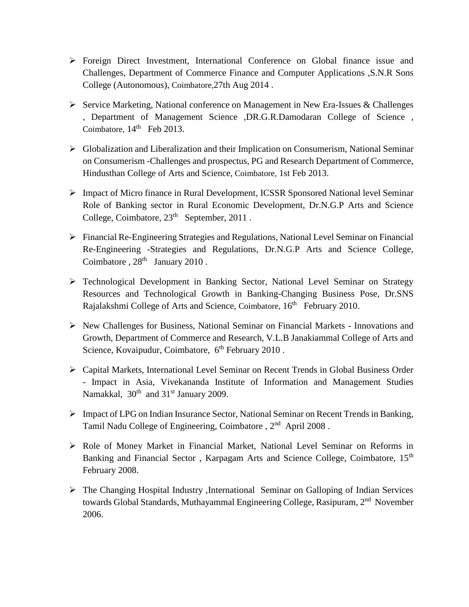- ➢ Foreign Direct Investment, International Conference on Global finance issue and Challenges, Department of Commerce Finance and Computer Applications ,S.N.R Sons College (Autonomous), Coimbatore,27th Aug 2014 .
- ➢ Service Marketing, National conference on Management in New Era-Issues & Challenges , Department of Management Science ,DR.G.R.Damodaran College of Science , Coimbatore,  $14<sup>th</sup>$  Feb 2013.
- ➢ Globalization and Liberalization and their Implication on Consumerism, National Seminar on Consumerism -Challenges and prospectus, PG and Research Department of Commerce, Hindusthan College of Arts and Science, Coimbatore, 1st Feb 2013.
- ➢ Impact of Micro finance in Rural Development, ICSSR Sponsored National level Seminar Role of Banking sector in Rural Economic Development, Dr.N.G.P Arts and Science College, Coimbatore, 23<sup>th</sup> September, 2011.
- ➢ Financial Re-Engineering Strategies and Regulations, National Level Seminar on Financial Re-Engineering -Strategies and Regulations, Dr.N.G.P Arts and Science College, Coimbatore,  $28<sup>th</sup>$  January 2010.
- ➢ Technological Development in Banking Sector, National Level Seminar on Strategy Resources and Technological Growth in Banking-Changing Business Pose, Dr.SNS Rajalakshmi College of Arts and Science, Coimbatore, 16<sup>th</sup> February 2010.
- ➢ New Challenges for Business, National Seminar on Financial Markets Innovations and Growth, Department of Commerce and Research, V.L.B Janakiammal College of Arts and Science, Kovaipudur, Coimbatore, 6<sup>th</sup> February 2010.
- ➢ Capital Markets, International Level Seminar on Recent Trends in Global Business Order - Impact in Asia, Vivekananda Institute of Information and Management Studies Namakkal,  $30<sup>th</sup>$  and  $31<sup>st</sup>$  January 2009.
- ➢ Impact of LPG on Indian Insurance Sector, National Seminar on Recent Trends in Banking, Tamil Nadu College of Engineering, Coimbatore, 2<sup>nd</sup> April 2008.
- ➢ Role of Money Market in Financial Market, National Level Seminar on Reforms in Banking and Financial Sector, Karpagam Arts and Science College, Coimbatore, 15<sup>th</sup> February 2008.
- ➢ The Changing Hospital Industry ,International Seminar on Galloping of Indian Services towards Global Standards, Muthayammal Engineering College, Rasipuram, 2<sup>nd</sup> November 2006.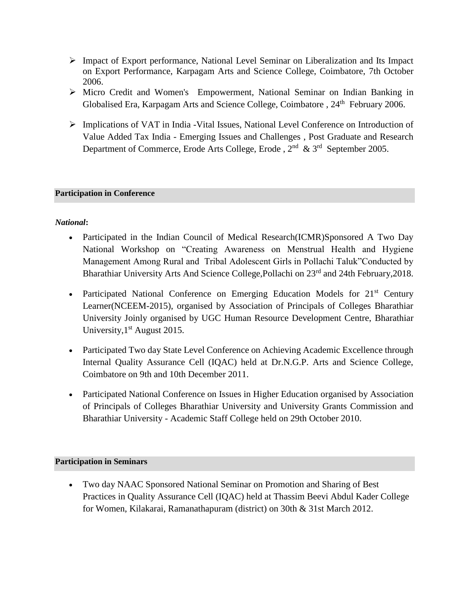- ➢ Impact of Export performance, National Level Seminar on Liberalization and Its Impact on Export Performance, Karpagam Arts and Science College, Coimbatore, 7th October 2006.
- ➢ Micro Credit and Women's Empowerment, National Seminar on Indian Banking in Globalised Era, Karpagam Arts and Science College, Coimbatore, 24<sup>th</sup> February 2006.
- ➢ Implications of VAT in India -Vital Issues, National Level Conference on Introduction of Value Added Tax India - Emerging Issues and Challenges , Post Graduate and Research Department of Commerce, Erode Arts College, Erode,  $2<sup>nd</sup>$  &  $3<sup>rd</sup>$  September 2005.

# **Participation in Conference**

# *National***:**

- Participated in the Indian Council of Medical Research(ICMR)Sponsored A Two Day National Workshop on "Creating Awareness on Menstrual Health and Hygiene Management Among Rural and Tribal Adolescent Girls in Pollachi Taluk"Conducted by Bharathiar University Arts And Science College, Pollachi on 23<sup>rd</sup> and 24th February, 2018.
- Participated National Conference on Emerging Education Models for 21<sup>st</sup> Century Learner(NCEEM-2015), organised by Association of Principals of Colleges Bharathiar University Joinly organised by UGC Human Resource Development Centre, Bharathiar University,  $1<sup>st</sup>$  August 2015.
- Participated Two day State Level Conference on Achieving Academic Excellence through Internal Quality Assurance Cell (IQAC) held at Dr.N.G.P. Arts and Science College, Coimbatore on 9th and 10th December 2011.
- Participated National Conference on Issues in Higher Education organised by Association of Principals of Colleges Bharathiar University and University Grants Commission and Bharathiar University - Academic Staff College held on 29th October 2010.

# **Participation in Seminars**

• Two day NAAC Sponsored National Seminar on Promotion and Sharing of Best Practices in Quality Assurance Cell (IQAC) held at Thassim Beevi Abdul Kader College for Women, Kilakarai, Ramanathapuram (district) on 30th & 31st March 2012.